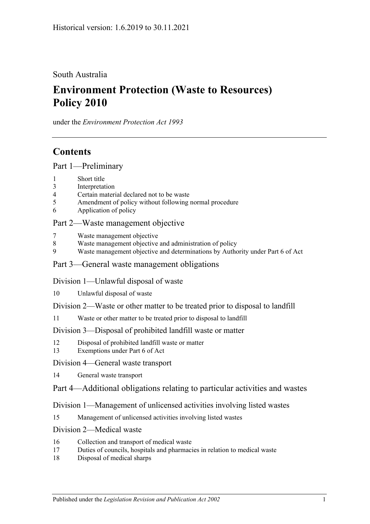South Australia

# **Environment Protection (Waste to Resources) Policy 2010**

under the *Environment Protection Act 1993*

# **Contents**

[Part 1—Preliminary](#page-1-0)

- 1 [Short title](#page-1-1)
- 3 [Interpretation](#page-1-2)
- 4 [Certain material declared not to be waste](#page-4-0)
- 5 [Amendment of policy without following normal procedure](#page-4-1)
- 6 [Application of policy](#page-6-0)

## [Part 2—Waste management objective](#page-6-1)

- 7 [Waste management objective](#page-6-2)
- 8 [Waste management objective and administration of policy](#page-6-3)
- 9 [Waste management objective and determinations by Authority under](#page-6-4) Part 6 of Act

### [Part 3—General waste management obligations](#page-6-5)

[Division 1—Unlawful disposal of waste](#page-6-6)

- 10 [Unlawful disposal of waste](#page-6-7)
- [Division 2—Waste or other matter to be treated prior to disposal to landfill](#page-8-0)
- 11 [Waste or other matter to be treated prior to disposal to landfill](#page-8-1)

### [Division 3—Disposal of prohibited landfill waste or matter](#page-9-0)

- 12 [Disposal of prohibited landfill waste or matter](#page-9-1)
- 13 [Exemptions under Part 6 of Act](#page-10-0)

### [Division 4—General waste transport](#page-10-1)

14 [General waste transport](#page-10-2)

## [Part 4—Additional obligations relating to particular activities and wastes](#page-11-0)

## [Division 1—Management of unlicensed activities involving listed wastes](#page-11-1)

15 [Management of unlicensed activities involving listed wastes](#page-11-2)

### [Division 2—Medical waste](#page-12-0)

- 16 [Collection and transport of medical waste](#page-12-1)
- 17 [Duties of councils, hospitals and pharmacies in relation to medical waste](#page-12-2)
- 18 [Disposal of medical sharps](#page-13-0)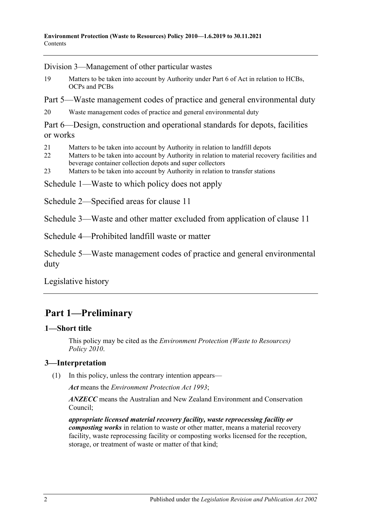[Division 3—Management of other particular wastes](#page-14-0)

19 [Matters to be taken into account by Authority under Part 6 of Act in relation to HCBs,](#page-14-1)  [OCPs and PCBs](#page-14-1)

[Part 5—Waste management codes of practice and general environmental duty](#page-15-0)

20 [Waste management codes of practice and general environmental duty](#page-15-1)

[Part 6—Design, construction and operational standards for depots, facilities](#page-15-2)  [or works](#page-15-2)

- 21 [Matters to be taken into account by Authority in relation to landfill depots](#page-15-3)
- 22 Matters to be taken into account by Authority in relation to material recovery facilities and [beverage container collection depots and super collectors](#page-16-0)
- 23 [Matters to be taken into account by Authority in relation to transfer stations](#page-16-1)

[Schedule 1—Waste to which policy does not apply](#page-16-2)

[Schedule 2—Specified areas for clause](#page-16-3) 11

[Schedule 3—Waste and other matter excluded from application of clause](#page-17-0) 11

[Schedule 4—Prohibited landfill waste or matter](#page-17-1)

[Schedule 5—Waste management codes of practice and general environmental](#page-20-0)  [duty](#page-20-0)

[Legislative history](#page-21-0)

# <span id="page-1-0"></span>30B**Part 1—Preliminary**

## <span id="page-1-1"></span>0B**1—Short title**

This policy may be cited as the *[Environment Protection \(Waste to Resources\)](http://www.legislation.sa.gov.au/index.aspx?action=legref&type=subordleg&legtitle=Environment%20Protection%20(Waste%20to%20Resources)%20Policy%202010)  [Policy](http://www.legislation.sa.gov.au/index.aspx?action=legref&type=subordleg&legtitle=Environment%20Protection%20(Waste%20to%20Resources)%20Policy%202010) 2010*.

## <span id="page-1-3"></span><span id="page-1-2"></span>1B**3—Interpretation**

(1) In this policy, unless the contrary intention appears—

*Act* means the *[Environment Protection Act](http://www.legislation.sa.gov.au/index.aspx?action=legref&type=act&legtitle=Environment%20Protection%20Act%201993) 1993*;

*ANZECC* means the Australian and New Zealand Environment and Conservation Council;

*appropriate licensed material recovery facility, waste reprocessing facility or composting works* in relation to waste or other matter, means a material recovery facility, waste reprocessing facility or composting works licensed for the reception, storage, or treatment of waste or matter of that kind;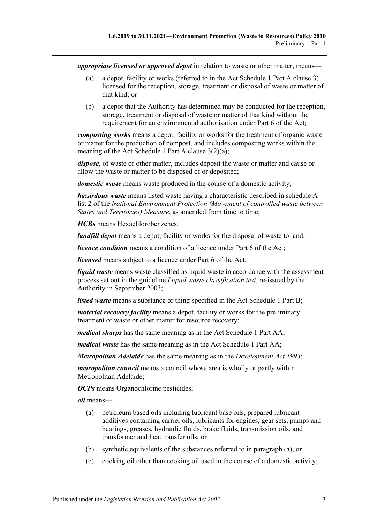*appropriate licensed or approved depot* in relation to waste or other matter, means—

- (a) a depot, facility or works (referred to in the Act Schedule 1 Part A clause 3) licensed for the reception, storage, treatment or disposal of waste or matter of that kind; or
- (b) a depot that the Authority has determined may be conducted for the reception, storage, treatment or disposal of waste or matter of that kind without the requirement for an environmental authorisation under Part 6 of the Act;

*composting works* means a depot, facility or works for the treatment of organic waste or matter for the production of compost, and includes composting works within the meaning of the Act Schedule 1 Part A clause 3(2)(a);

*dispose*, of waste or other matter, includes deposit the waste or matter and cause or allow the waste or matter to be disposed of or deposited;

*domestic waste* means waste produced in the course of a domestic activity;

*hazardous waste* means listed waste having a characteristic described in schedule A list 2 of the *National Environment Protection (Movement of controlled waste between States and Territories) Measure*, as amended from time to time;

*HCBs* means Hexachlorobenzenes;

*landfill depot* means a depot, facility or works for the disposal of waste to land;

*licence condition* means a condition of a licence under Part 6 of the Act;

*licensed* means subject to a licence under Part 6 of the Act;

*liquid waste* means waste classified as liquid waste in accordance with the assessment process set out in the guideline *Liquid waste classification test*, re-issued by the Authority in September 2003;

*listed waste* means a substance or thing specified in the Act Schedule 1 Part B;

*material recovery facility* means a depot, facility or works for the preliminary treatment of waste or other matter for resource recovery;

*medical sharps* has the same meaning as in the Act Schedule 1 Part AA;

*medical waste* has the same meaning as in the Act Schedule 1 Part AA;

*Metropolitan Adelaide* has the same meaning as in the *[Development Act](http://www.legislation.sa.gov.au/index.aspx?action=legref&type=act&legtitle=Development%20Act%201993) 1993*;

*metropolitan council* means a council whose area is wholly or partly within Metropolitan Adelaide;

*OCPs* means Organochlorine pesticides;

<span id="page-2-0"></span>*oil* means—

- (a) petroleum based oils including lubricant base oils, prepared lubricant additives containing carrier oils, lubricants for engines, gear sets, pumps and bearings, greases, hydraulic fluids, brake fluids, transmission oils, and transformer and heat transfer oils; or
- (b) synthetic equivalents of the substances referred to in [paragraph](#page-2-0) (a); or
- (c) cooking oil other than cooking oil used in the course of a domestic activity;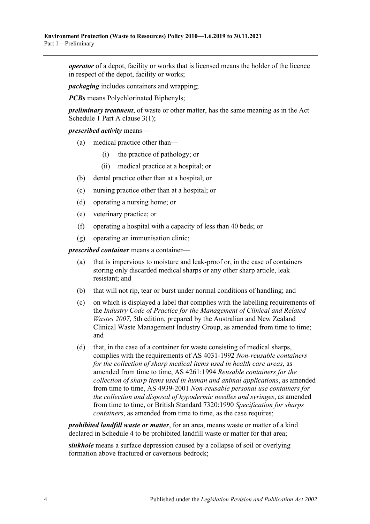*operator* of a depot, facility or works that is licensed means the holder of the licence in respect of the depot, facility or works;

*packaging* includes containers and wrapping;

*PCBs* means Polychlorinated Biphenyls;

*preliminary treatment*, of waste or other matter, has the same meaning as in the Act Schedule 1 Part A clause 3(1);

#### *prescribed activity* means—

- (a) medical practice other than—
	- (i) the practice of pathology; or
	- (ii) medical practice at a hospital; or
- (b) dental practice other than at a hospital; or
- (c) nursing practice other than at a hospital; or
- (d) operating a nursing home; or
- (e) veterinary practice; or
- (f) operating a hospital with a capacity of less than 40 beds; or
- (g) operating an immunisation clinic;

*prescribed container* means a container—

- (a) that is impervious to moisture and leak-proof or, in the case of containers storing only discarded medical sharps or any other sharp article, leak resistant; and
- (b) that will not rip, tear or burst under normal conditions of handling; and
- (c) on which is displayed a label that complies with the labelling requirements of the *Industry Code of Practice for the Management of Clinical and Related Wastes 2007*, 5th edition, prepared by the Australian and New Zealand Clinical Waste Management Industry Group, as amended from time to time; and
- (d) that, in the case of a container for waste consisting of medical sharps, complies with the requirements of AS 4031-1992 *Non-reusable containers for the collection of sharp medical items used in health care areas*, as amended from time to time, AS 4261:1994 *Reusable containers for the collection of sharp items used in human and animal applications*, as amended from time to time, AS 4939-2001 *Non-reusable personal use containers for the collection and disposal of hypodermic needles and syringes*, as amended from time to time, or British Standard 7320:1990 *Specification for sharps containers*, as amended from time to time, as the case requires;

*prohibited landfill waste or matter*, for an area, means waste or matter of a kind declared in [Schedule 4](#page-17-1) to be prohibited landfill waste or matter for that area;

*sinkhole* means a surface depression caused by a collapse of soil or overlying formation above fractured or cavernous bedrock;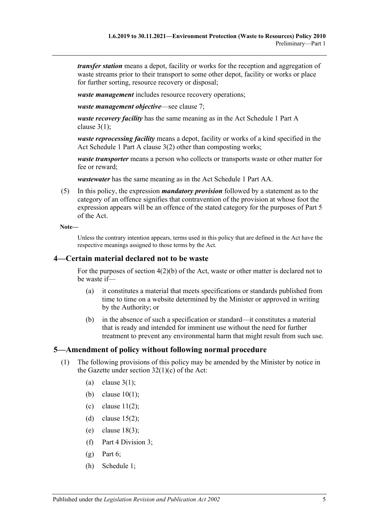*transfer station* means a depot, facility or works for the reception and aggregation of waste streams prior to their transport to some other depot, facility or works or place for further sorting, resource recovery or disposal;

*waste management* includes resource recovery operations;

*waste management objective*—see [clause](#page-6-2) 7;

*waste recovery facility* has the same meaning as in the Act Schedule 1 Part A clause  $3(1)$ ;

*waste reprocessing facility* means a depot, facility or works of a kind specified in the Act Schedule 1 Part A clause 3(2) other than composting works;

*waste transporter* means a person who collects or transports waste or other matter for fee or reward;

*wastewater* has the same meaning as in the Act Schedule 1 Part AA.

(5) In this policy, the expression *mandatory provision* followed by a statement as to the category of an offence signifies that contravention of the provision at whose foot the expression appears will be an offence of the stated category for the purposes of Part 5 of the Act.

**Note—**

Unless the contrary intention appears, terms used in this policy that are defined in the Act have the respective meanings assigned to those terms by the Act.

#### <span id="page-4-0"></span>2B**4—Certain material declared not to be waste**

For the purposes of section 4(2)(b) of the Act, waste or other matter is declared not to be waste if—

- (a) it constitutes a material that meets specifications or standards published from time to time on a website determined by the Minister or approved in writing by the Authority; or
- (b) in the absence of such a specification or standard—it constitutes a material that is ready and intended for imminent use without the need for further treatment to prevent any environmental harm that might result from such use.

#### <span id="page-4-2"></span><span id="page-4-1"></span>3B**5—Amendment of policy without following normal procedure**

- (1) The following provisions of this policy may be amended by the Minister by notice in the Gazette under section  $32(1)(c)$  of the Act:
	- (a) [clause](#page-1-3)  $3(1)$ ;
	- (b) [clause](#page-6-8) 10(1);
	- (c) clause  $11(2)$ ;
	- (d) [clause](#page-11-3)  $15(2)$ ;
	- (e) [clause](#page-14-2) 18(3);
	- (f) [Part 4 Division 3;](#page-14-0)
	- $(g)$  [Part 6;](#page-15-2)
	- (h) [Schedule 1;](#page-16-2)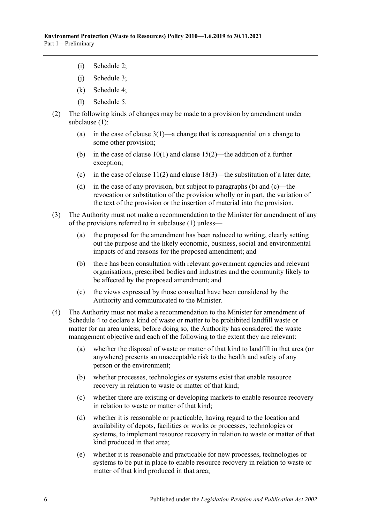- (i) [Schedule 2;](#page-16-3)
- (j) Schedule 3;
- (k) [Schedule 4;](#page-17-1)
- (l) [Schedule 5.](#page-20-0)
- <span id="page-5-0"></span>(2) The following kinds of changes may be made to a provision by amendment under [subclause](#page-4-2) (1):
	- (a) in the case of [clause](#page-1-3)  $3(1)$ —a change that is consequential on a change to some other provision;
	- (b) in the case of [clause](#page-11-3)  $10(1)$  and clause  $15(2)$ —the addition of a further exception;
	- (c) in the case of [clause](#page-14-2)  $11(2)$  and clause  $18(3)$ —the substitution of a later date;
	- (d) in the case of any provision, but subject to [paragraphs](#page-5-0) (b) and [\(c\)—](#page-5-1)the revocation or substitution of the provision wholly or in part, the variation of the text of the provision or the insertion of material into the provision.
- <span id="page-5-1"></span>(3) The Authority must not make a recommendation to the Minister for amendment of any of the provisions referred to in [subclause](#page-4-2) (1) unless—
	- (a) the proposal for the amendment has been reduced to writing, clearly setting out the purpose and the likely economic, business, social and environmental impacts of and reasons for the proposed amendment; and
	- (b) there has been consultation with relevant government agencies and relevant organisations, prescribed bodies and industries and the community likely to be affected by the proposed amendment; and
	- (c) the views expressed by those consulted have been considered by the Authority and communicated to the Minister.
- (4) The Authority must not make a recommendation to the Minister for amendment of [Schedule 4](#page-17-1) to declare a kind of waste or matter to be prohibited landfill waste or matter for an area unless, before doing so, the Authority has considered the waste management objective and each of the following to the extent they are relevant:
	- (a) whether the disposal of waste or matter of that kind to landfill in that area (or anywhere) presents an unacceptable risk to the health and safety of any person or the environment;
	- (b) whether processes, technologies or systems exist that enable resource recovery in relation to waste or matter of that kind;
	- (c) whether there are existing or developing markets to enable resource recovery in relation to waste or matter of that kind;
	- (d) whether it is reasonable or practicable, having regard to the location and availability of depots, facilities or works or processes, technologies or systems, to implement resource recovery in relation to waste or matter of that kind produced in that area;
	- (e) whether it is reasonable and practicable for new processes, technologies or systems to be put in place to enable resource recovery in relation to waste or matter of that kind produced in that area;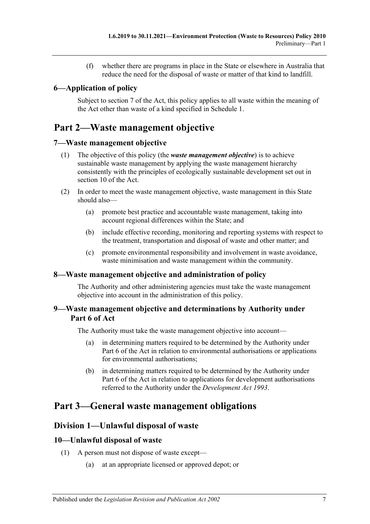(f) whether there are programs in place in the State or elsewhere in Australia that reduce the need for the disposal of waste or matter of that kind to landfill.

## <span id="page-6-0"></span>4B**6—Application of policy**

Subject to section 7 of the Act, this policy applies to all waste within the meaning of the Act other than waste of a kind specified in [Schedule 1.](#page-16-2)

# <span id="page-6-1"></span>31B**Part 2—Waste management objective**

### <span id="page-6-2"></span>5B**7—Waste management objective**

- (1) The objective of this policy (the *waste management objective*) is to achieve sustainable waste management by applying the waste management hierarchy consistently with the principles of ecologically sustainable development set out in section 10 of the Act.
- (2) In order to meet the waste management objective, waste management in this State should also—
	- (a) promote best practice and accountable waste management, taking into account regional differences within the State; and
	- (b) include effective recording, monitoring and reporting systems with respect to the treatment, transportation and disposal of waste and other matter; and
	- (c) promote environmental responsibility and involvement in waste avoidance, waste minimisation and waste management within the community.

### <span id="page-6-3"></span>6B**8—Waste management objective and administration of policy**

The Authority and other administering agencies must take the waste management objective into account in the administration of this policy.

### <span id="page-6-4"></span>7B**9—Waste management objective and determinations by Authority under Part 6 of Act**

The Authority must take the waste management objective into account—

- (a) in determining matters required to be determined by the Authority under Part 6 of the Act in relation to environmental authorisations or applications for environmental authorisations;
- (b) in determining matters required to be determined by the Authority under Part 6 of the Act in relation to applications for development authorisations referred to the Authority under the *[Development Act](http://www.legislation.sa.gov.au/index.aspx?action=legref&type=act&legtitle=Development%20Act%201993) 1993*.

# <span id="page-6-6"></span><span id="page-6-5"></span>32B**Part 3—General waste management obligations**

## 22B**Division 1—Unlawful disposal of waste**

### <span id="page-6-8"></span><span id="page-6-7"></span>12B**10—Unlawful disposal of waste**

- (1) A person must not dispose of waste except—
	- (a) at an appropriate licensed or approved depot; or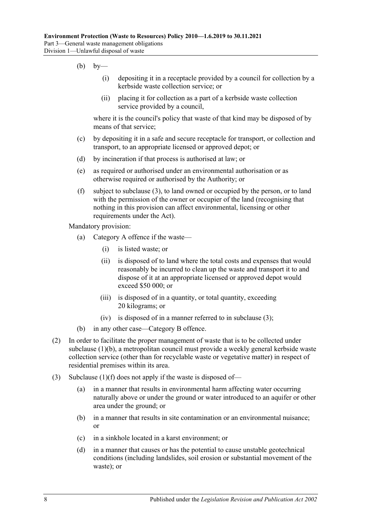- <span id="page-7-1"></span> $(b)$  by—
	- (i) depositing it in a receptacle provided by a council for collection by a kerbside waste collection service; or
	- (ii) placing it for collection as a part of a kerbside waste collection service provided by a council,

where it is the council's policy that waste of that kind may be disposed of by means of that service;

- (c) by depositing it in a safe and secure receptacle for transport, or collection and transport, to an appropriate licensed or approved depot; or
- (d) by incineration if that process is authorised at law; or
- (e) as required or authorised under an environmental authorisation or as otherwise required or authorised by the Authority; or
- <span id="page-7-2"></span>(f) subject to [subclause](#page-7-0) (3), to land owned or occupied by the person, or to land with the permission of the owner or occupier of the land (recognising that nothing in this provision can affect environmental, licensing or other requirements under the Act).

Mandatory provision:

- (a) Category A offence if the waste—
	- (i) is listed waste; or
	- (ii) is disposed of to land where the total costs and expenses that would reasonably be incurred to clean up the waste and transport it to and dispose of it at an appropriate licensed or approved depot would exceed \$50 000; or
	- (iii) is disposed of in a quantity, or total quantity, exceeding 20 kilograms; or
	- (iv) is disposed of in a manner referred to in [subclause](#page-7-0) (3);
- (b) in any other case—Category B offence.
- (2) In order to facilitate the proper management of waste that is to be collected under [subclause](#page-7-1) (1)(b), a metropolitan council must provide a weekly general kerbside waste collection service (other than for recyclable waste or vegetative matter) in respect of residential premises within its area.
- <span id="page-7-0"></span>(3) [Subclause](#page-7-2)  $(1)(f)$  does not apply if the waste is disposed of-
	- (a) in a manner that results in environmental harm affecting water occurring naturally above or under the ground or water introduced to an aquifer or other area under the ground; or
	- (b) in a manner that results in site contamination or an environmental nuisance; or
	- (c) in a sinkhole located in a karst environment; or
	- (d) in a manner that causes or has the potential to cause unstable geotechnical conditions (including landslides, soil erosion or substantial movement of the waste); or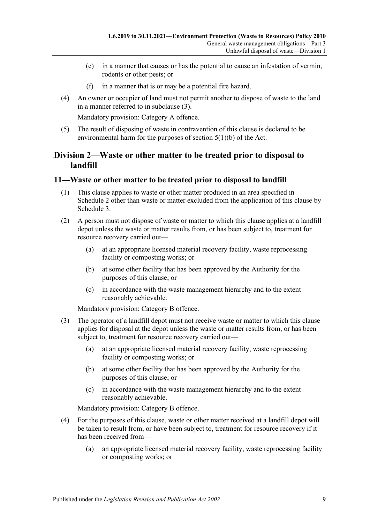- (e) in a manner that causes or has the potential to cause an infestation of vermin, rodents or other pests; or
- (f) in a manner that is or may be a potential fire hazard.
- (4) An owner or occupier of land must not permit another to dispose of waste to the land in a manner referred to in [subclause](#page-7-0) (3).

Mandatory provision: Category A offence.

(5) The result of disposing of waste in contravention of this clause is declared to be environmental harm for the purposes of section 5(1)(b) of the Act.

### <span id="page-8-0"></span>23B**Division 2—Waste or other matter to be treated prior to disposal to landfill**

#### <span id="page-8-1"></span>13B**11—Waste or other matter to be treated prior to disposal to landfill**

- (1) This clause applies to waste or other matter produced in an area specified in [Schedule](#page-16-3) 2 other than waste or matter excluded from the application of this clause by [Schedule](#page-17-0) 3.
- <span id="page-8-2"></span>(2) A person must not dispose of waste or matter to which this clause applies at a landfill depot unless the waste or matter results from, or has been subject to, treatment for resource recovery carried out—
	- (a) at an appropriate licensed material recovery facility, waste reprocessing facility or composting works; or
	- (b) at some other facility that has been approved by the Authority for the purposes of this clause; or
	- (c) in accordance with the waste management hierarchy and to the extent reasonably achievable.

Mandatory provision: Category B offence.

- <span id="page-8-3"></span>(3) The operator of a landfill depot must not receive waste or matter to which this clause applies for disposal at the depot unless the waste or matter results from, or has been subject to, treatment for resource recovery carried out—
	- (a) at an appropriate licensed material recovery facility, waste reprocessing facility or composting works; or
	- (b) at some other facility that has been approved by the Authority for the purposes of this clause; or
	- (c) in accordance with the waste management hierarchy and to the extent reasonably achievable.

Mandatory provision: Category B offence.

- <span id="page-8-4"></span>(4) For the purposes of this clause, waste or other matter received at a landfill depot will be taken to result from, or have been subject to, treatment for resource recovery if it has been received from—
	- (a) an appropriate licensed material recovery facility, waste reprocessing facility or composting works; or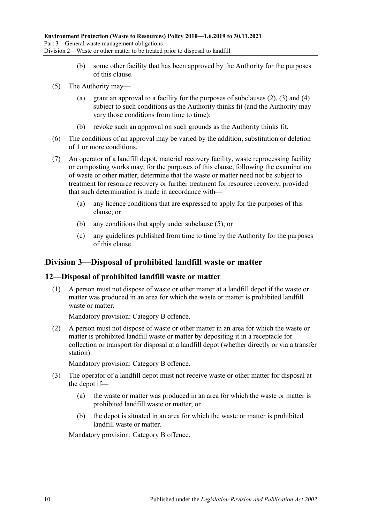- (b) some other facility that has been approved by the Authority for the purposes of this clause.
- <span id="page-9-2"></span>(5) The Authority may
	- (a) grant an approval to a facility for the purposes of [subclauses](#page-8-2)  $(2)$ ,  $(3)$  and  $(4)$ subject to such conditions as the Authority thinks fit (and the Authority may vary those conditions from time to time);
	- (b) revoke such an approval on such grounds as the Authority thinks fit.
- (6) The conditions of an approval may be varied by the addition, substitution or deletion of 1 or more conditions.
- (7) An operator of a landfill depot, material recovery facility, waste reprocessing facility or composting works may, for the purposes of this clause, following the examination of waste or other matter, determine that the waste or matter need not be subject to treatment for resource recovery or further treatment for resource recovery, provided that such determination is made in accordance with—
	- (a) any licence conditions that are expressed to apply for the purposes of this clause; or
	- (b) any conditions that apply under [subclause](#page-9-2) (5); or
	- (c) any guidelines published from time to time by the Authority for the purposes of this clause.

## <span id="page-9-0"></span>24B**Division 3—Disposal of prohibited landfill waste or matter**

### <span id="page-9-1"></span>14B**12—Disposal of prohibited landfill waste or matter**

(1) A person must not dispose of waste or other matter at a landfill depot if the waste or matter was produced in an area for which the waste or matter is prohibited landfill waste or matter.

Mandatory provision: Category B offence.

(2) A person must not dispose of waste or other matter in an area for which the waste or matter is prohibited landfill waste or matter by depositing it in a receptacle for collection or transport for disposal at a landfill depot (whether directly or via a transfer station).

Mandatory provision: Category B offence.

- <span id="page-9-3"></span>(3) The operator of a landfill depot must not receive waste or other matter for disposal at the depot if—
	- (a) the waste or matter was produced in an area for which the waste or matter is prohibited landfill waste or matter; or
	- (b) the depot is situated in an area for which the waste or matter is prohibited landfill waste or matter.

Mandatory provision: Category B offence.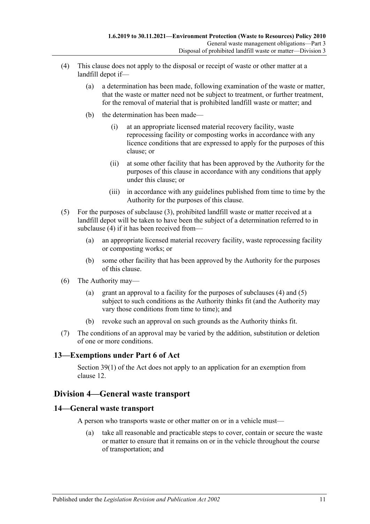- <span id="page-10-3"></span>(4) This clause does not apply to the disposal or receipt of waste or other matter at a landfill depot if—
	- (a) a determination has been made, following examination of the waste or matter, that the waste or matter need not be subject to treatment, or further treatment, for the removal of material that is prohibited landfill waste or matter; and
	- (b) the determination has been made—
		- (i) at an appropriate licensed material recovery facility, waste reprocessing facility or composting works in accordance with any licence conditions that are expressed to apply for the purposes of this clause; or
		- (ii) at some other facility that has been approved by the Authority for the purposes of this clause in accordance with any conditions that apply under this clause; or
		- (iii) in accordance with any guidelines published from time to time by the Authority for the purposes of this clause.
- <span id="page-10-4"></span>(5) For the purposes of [subclause](#page-9-3) (3), prohibited landfill waste or matter received at a landfill depot will be taken to have been the subject of a determination referred to in [subclause](#page-10-3) (4) if it has been received from—
	- (a) an appropriate licensed material recovery facility, waste reprocessing facility or composting works; or
	- (b) some other facility that has been approved by the Authority for the purposes of this clause.
- (6) The Authority may—
	- (a) grant an approval to a facility for the purposes of [subclauses](#page-10-3) (4) and [\(5\)](#page-10-4) subject to such conditions as the Authority thinks fit (and the Authority may vary those conditions from time to time); and
	- (b) revoke such an approval on such grounds as the Authority thinks fit.
- (7) The conditions of an approval may be varied by the addition, substitution or deletion of one or more conditions.

## <span id="page-10-0"></span>15B**13—Exemptions under Part 6 of Act**

Section 39(1) of the Act does not apply to an application for an exemption from clause 12.

## <span id="page-10-1"></span>25B**Division 4—General waste transport**

### <span id="page-10-2"></span>16B**14—General waste transport**

A person who transports waste or other matter on or in a vehicle must—

(a) take all reasonable and practicable steps to cover, contain or secure the waste or matter to ensure that it remains on or in the vehicle throughout the course of transportation; and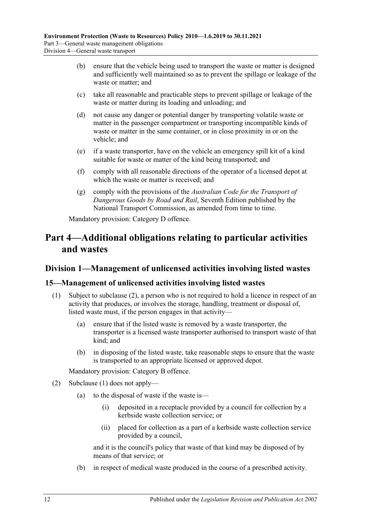- (b) ensure that the vehicle being used to transport the waste or matter is designed and sufficiently well maintained so as to prevent the spillage or leakage of the waste or matter; and
- (c) take all reasonable and practicable steps to prevent spillage or leakage of the waste or matter during its loading and unloading; and
- (d) not cause any danger or potential danger by transporting volatile waste or matter in the passenger compartment or transporting incompatible kinds of waste or matter in the same container, or in close proximity in or on the vehicle; and
- (e) if a waste transporter, have on the vehicle an emergency spill kit of a kind suitable for waste or matter of the kind being transported; and
- (f) comply with all reasonable directions of the operator of a licensed depot at which the waste or matter is received; and
- (g) comply with the provisions of the *Australian Code for the Transport of Dangerous Goods by Road and Rail*, Seventh Edition published by the National Transport Commission, as amended from time to time.

Mandatory provision: Category D offence.

# <span id="page-11-0"></span>33B**Part 4—Additional obligations relating to particular activities and wastes**

## <span id="page-11-1"></span>26B**Division 1—Management of unlicensed activities involving listed wastes**

### <span id="page-11-4"></span><span id="page-11-2"></span>17B**15—Management of unlicensed activities involving listed wastes**

- (1) Subject to [subclause](#page-11-3) (2), a person who is not required to hold a licence in respect of an activity that produces, or involves the storage, handling, treatment or disposal of, listed waste must, if the person engages in that activity—
	- (a) ensure that if the listed waste is removed by a waste transporter, the transporter is a licensed waste transporter authorised to transport waste of that kind; and
	- (b) in disposing of the listed waste, take reasonable steps to ensure that the waste is transported to an appropriate licensed or approved depot.

Mandatory provision: Category B offence.

- <span id="page-11-3"></span>(2) [Subclause](#page-11-4) (1) does not apply—
	- (a) to the disposal of waste if the waste is—
		- (i) deposited in a receptacle provided by a council for collection by a kerbside waste collection service; or
		- (ii) placed for collection as a part of a kerbside waste collection service provided by a council,

and it is the council's policy that waste of that kind may be disposed of by means of that service; or

(b) in respect of medical waste produced in the course of a prescribed activity.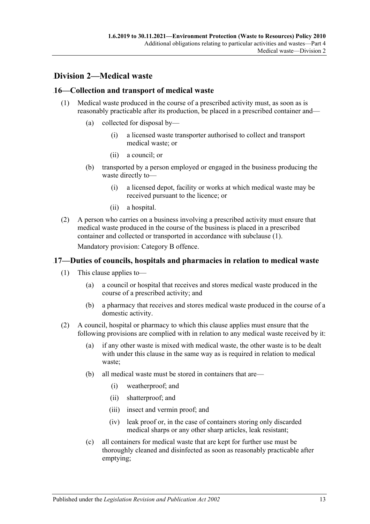## <span id="page-12-0"></span>27B**Division 2—Medical waste**

### <span id="page-12-3"></span><span id="page-12-1"></span>18B**16—Collection and transport of medical waste**

- (1) Medical waste produced in the course of a prescribed activity must, as soon as is reasonably practicable after its production, be placed in a prescribed container and—
	- (a) collected for disposal by—
		- (i) a licensed waste transporter authorised to collect and transport medical waste; or
		- (ii) a council; or
	- (b) transported by a person employed or engaged in the business producing the waste directly to—
		- (i) a licensed depot, facility or works at which medical waste may be received pursuant to the licence; or
		- (ii) a hospital.
- (2) A person who carries on a business involving a prescribed activity must ensure that medical waste produced in the course of the business is placed in a prescribed container and collected or transported in accordance with [subclause](#page-12-3) (1).

Mandatory provision: Category B offence.

### <span id="page-12-2"></span>19B**17—Duties of councils, hospitals and pharmacies in relation to medical waste**

- (1) This clause applies to—
	- (a) a council or hospital that receives and stores medical waste produced in the course of a prescribed activity; and
	- (b) a pharmacy that receives and stores medical waste produced in the course of a domestic activity.
- (2) A council, hospital or pharmacy to which this clause applies must ensure that the following provisions are complied with in relation to any medical waste received by it:
	- (a) if any other waste is mixed with medical waste, the other waste is to be dealt with under this clause in the same way as is required in relation to medical waste;
	- (b) all medical waste must be stored in containers that are—
		- (i) weatherproof; and
		- (ii) shatterproof; and
		- (iii) insect and vermin proof; and
		- (iv) leak proof or, in the case of containers storing only discarded medical sharps or any other sharp articles, leak resistant;
	- (c) all containers for medical waste that are kept for further use must be thoroughly cleaned and disinfected as soon as reasonably practicable after emptying;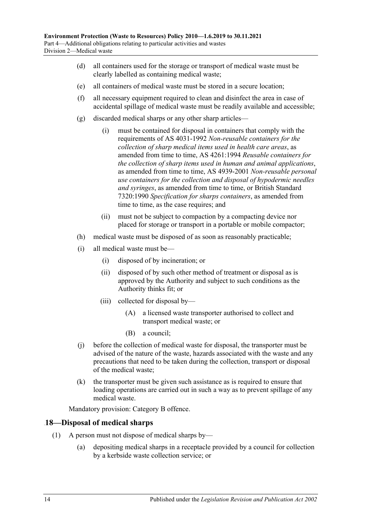- (d) all containers used for the storage or transport of medical waste must be clearly labelled as containing medical waste;
- (e) all containers of medical waste must be stored in a secure location;
- (f) all necessary equipment required to clean and disinfect the area in case of accidental spillage of medical waste must be readily available and accessible;
- (g) discarded medical sharps or any other sharp articles—
	- (i) must be contained for disposal in containers that comply with the requirements of AS 4031-1992 *Non-reusable containers for the collection of sharp medical items used in health care areas*, as amended from time to time, AS 4261:1994 *Reusable containers for the collection of sharp items used in human and animal applications*, as amended from time to time, AS 4939-2001 *Non-reusable personal use containers for the collection and disposal of hypodermic needles and syringes*, as amended from time to time, or British Standard 7320:1990 *Specification for sharps containers*, as amended from time to time, as the case requires; and
	- (ii) must not be subject to compaction by a compacting device nor placed for storage or transport in a portable or mobile compactor;
- (h) medical waste must be disposed of as soon as reasonably practicable;
- (i) all medical waste must be—
	- (i) disposed of by incineration; or
	- (ii) disposed of by such other method of treatment or disposal as is approved by the Authority and subject to such conditions as the Authority thinks fit; or
	- (iii) collected for disposal by—
		- (A) a licensed waste transporter authorised to collect and transport medical waste; or
		- (B) a council;
- (j) before the collection of medical waste for disposal, the transporter must be advised of the nature of the waste, hazards associated with the waste and any precautions that need to be taken during the collection, transport or disposal of the medical waste;
- (k) the transporter must be given such assistance as is required to ensure that loading operations are carried out in such a way as to prevent spillage of any medical waste.

Mandatory provision: Category B offence.

### <span id="page-13-0"></span>20B**18—Disposal of medical sharps**

- (1) A person must not dispose of medical sharps by—
	- (a) depositing medical sharps in a receptacle provided by a council for collection by a kerbside waste collection service; or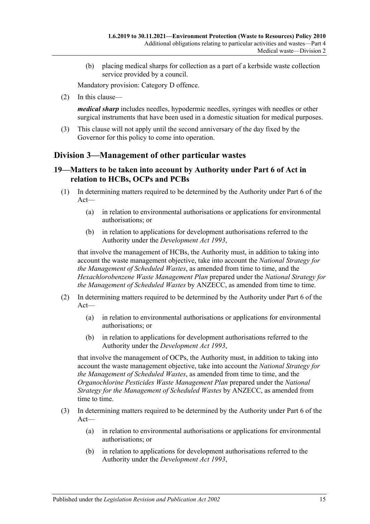(b) placing medical sharps for collection as a part of a kerbside waste collection service provided by a council.

Mandatory provision: Category D offence.

(2) In this clause—

*medical sharp* includes needles, hypodermic needles, syringes with needles or other surgical instruments that have been used in a domestic situation for medical purposes.

<span id="page-14-2"></span>(3) This clause will not apply until the second anniversary of the day fixed by the Governor for this policy to come into operation.

## <span id="page-14-0"></span>28B**Division 3—Management of other particular wastes**

### <span id="page-14-1"></span>21B**19—Matters to be taken into account by Authority under Part 6 of Act in relation to HCBs, OCPs and PCBs**

- (1) In determining matters required to be determined by the Authority under Part 6 of the Act—
	- (a) in relation to environmental authorisations or applications for environmental authorisations; or
	- (b) in relation to applications for development authorisations referred to the Authority under the *[Development Act](http://www.legislation.sa.gov.au/index.aspx?action=legref&type=act&legtitle=Development%20Act%201993) 1993*,

that involve the management of HCBs, the Authority must, in addition to taking into account the waste management objective, take into account the *National Strategy for the Management of Scheduled Wastes*, as amended from time to time, and the *Hexachlorobenzene Waste Management Plan* prepared under the *National Strategy for the Management of Scheduled Wastes* by ANZECC, as amended from time to time.

- (2) In determining matters required to be determined by the Authority under Part 6 of the Act—
	- (a) in relation to environmental authorisations or applications for environmental authorisations; or
	- (b) in relation to applications for development authorisations referred to the Authority under the *[Development Act](http://www.legislation.sa.gov.au/index.aspx?action=legref&type=act&legtitle=Development%20Act%201993) 1993*,

that involve the management of OCPs, the Authority must, in addition to taking into account the waste management objective, take into account the *National Strategy for the Management of Scheduled Wastes*, as amended from time to time, and the *Organochlorine Pesticides Waste Management Plan* prepared under the *National Strategy for the Management of Scheduled Wastes* by ANZECC, as amended from time to time.

- (3) In determining matters required to be determined by the Authority under Part 6 of the Act—
	- (a) in relation to environmental authorisations or applications for environmental authorisations; or
	- (b) in relation to applications for development authorisations referred to the Authority under the *[Development Act](http://www.legislation.sa.gov.au/index.aspx?action=legref&type=act&legtitle=Development%20Act%201993) 1993*,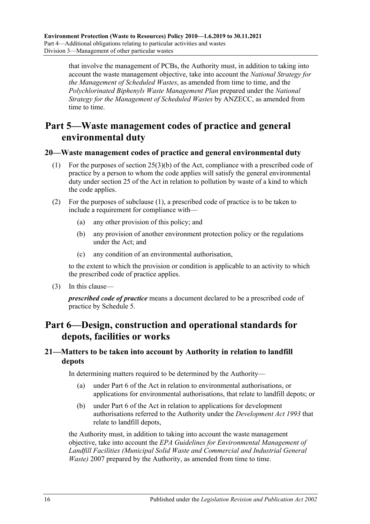that involve the management of PCBs, the Authority must, in addition to taking into account the waste management objective, take into account the *National Strategy for the Management of Scheduled Wastes*, as amended from time to time, and the *Polychlorinated Biphenyls Waste Management Plan* prepared under the *National Strategy for the Management of Scheduled Wastes* by ANZECC, as amended from time to time.

# <span id="page-15-0"></span>Part 5—Waste management codes of practice and general **environmental duty**

### <span id="page-15-4"></span><span id="page-15-1"></span>8B**20—Waste management codes of practice and general environmental duty**

- (1) For the purposes of section 25(3)(b) of the Act, compliance with a prescribed code of practice by a person to whom the code applies will satisfy the general environmental duty under section 25 of the Act in relation to pollution by waste of a kind to which the code applies.
- (2) For the purposes of [subclause](#page-15-4) (1), a prescribed code of practice is to be taken to include a requirement for compliance with—
	- (a) any other provision of this policy; and
	- (b) any provision of another environment protection policy or the regulations under the Act; and
	- (c) any condition of an environmental authorisation,

to the extent to which the provision or condition is applicable to an activity to which the prescribed code of practice applies.

(3) In this clause—

*prescribed code of practice* means a document declared to be a prescribed code of practice by [Schedule 5.](#page-20-0)

# <span id="page-15-2"></span>35B**Part 6—Design, construction and operational standards for depots, facilities or works**

## <span id="page-15-3"></span>9B**21—Matters to be taken into account by Authority in relation to landfill depots**

In determining matters required to be determined by the Authority—

- (a) under Part 6 of the Act in relation to environmental authorisations, or applications for environmental authorisations, that relate to landfill depots; or
- (b) under Part 6 of the Act in relation to applications for development authorisations referred to the Authority under the *[Development Act](http://www.legislation.sa.gov.au/index.aspx?action=legref&type=act&legtitle=Development%20Act%201993) 1993* that relate to landfill depots,

the Authority must, in addition to taking into account the waste management objective, take into account the *EPA Guidelines for Environmental Management of Landfill Facilities (Municipal Solid Waste and Commercial and Industrial General Waste)* 2007 prepared by the Authority, as amended from time to time.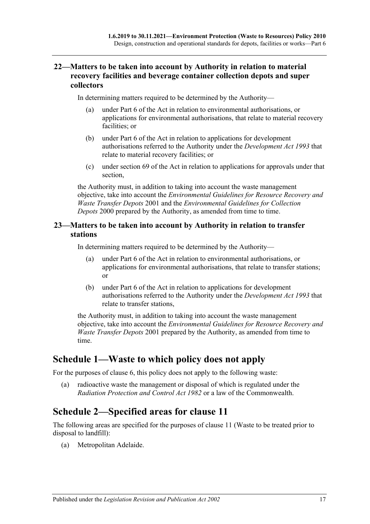## <span id="page-16-0"></span>10B**22—Matters to be taken into account by Authority in relation to material recovery facilities and beverage container collection depots and super collectors**

In determining matters required to be determined by the Authority—

- (a) under Part 6 of the Act in relation to environmental authorisations, or applications for environmental authorisations, that relate to material recovery facilities; or
- (b) under Part 6 of the Act in relation to applications for development authorisations referred to the Authority under the *[Development Act](http://www.legislation.sa.gov.au/index.aspx?action=legref&type=act&legtitle=Development%20Act%201993) 1993* that relate to material recovery facilities; or
- (c) under section 69 of the Act in relation to applications for approvals under that section,

the Authority must, in addition to taking into account the waste management objective, take into account the *Environmental Guidelines for Resource Recovery and Waste Transfer Depots* 2001 and the *Environmental Guidelines for Collection Depots* 2000 prepared by the Authority, as amended from time to time.

### <span id="page-16-1"></span>23—Matters to be taken into account by Authority in relation to transfer **stations**

In determining matters required to be determined by the Authority—

- (a) under Part 6 of the Act in relation to environmental authorisations, or applications for environmental authorisations, that relate to transfer stations; or
- (b) under Part 6 of the Act in relation to applications for development authorisations referred to the Authority under the *[Development Act](http://www.legislation.sa.gov.au/index.aspx?action=legref&type=act&legtitle=Development%20Act%201993) 1993* that relate to transfer stations,

the Authority must, in addition to taking into account the waste management objective, take into account the *Environmental Guidelines for Resource Recovery and Waste Transfer Depots* 2001 prepared by the Authority, as amended from time to time.

# <span id="page-16-2"></span>**Schedule 1—Waste to which policy does not apply**

For the purposes of [clause](#page-6-0) 6, this policy does not apply to the following waste:

(a) radioactive waste the management or disposal of which is regulated under the *[Radiation Protection and Control Act](http://www.legislation.sa.gov.au/index.aspx?action=legref&type=act&legtitle=Radiation%20Protection%20and%20Control%20Act%201982) 1982* or a law of the Commonwealth.

# <span id="page-16-3"></span>**Schedule 2—Specified areas for clause 11**

The following areas are specified for the purposes of clause 11 (Waste to be treated prior to disposal to landfill):

(a) Metropolitan Adelaide.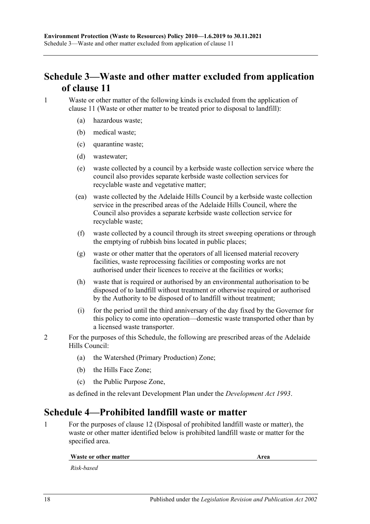# <span id="page-17-0"></span>**Schedule 3—Waste and other matter excluded from application of clause 11**

1 Waste or other matter of the following kinds is excluded from the application of clause 11 (Waste or other matter to be treated prior to disposal to landfill):

- (a) hazardous waste;
- (b) medical waste;
- (c) quarantine waste;
- (d) wastewater;
- (e) waste collected by a council by a kerbside waste collection service where the council also provides separate kerbside waste collection services for recyclable waste and vegetative matter;
- (ea) waste collected by the Adelaide Hills Council by a kerbside waste collection service in the prescribed areas of the Adelaide Hills Council, where the Council also provides a separate kerbside waste collection service for recyclable waste;
- (f) waste collected by a council through its street sweeping operations or through the emptying of rubbish bins located in public places;
- (g) waste or other matter that the operators of all licensed material recovery facilities, waste reprocessing facilities or composting works are not authorised under their licences to receive at the facilities or works;
- (h) waste that is required or authorised by an environmental authorisation to be disposed of to landfill without treatment or otherwise required or authorised by the Authority to be disposed of to landfill without treatment;
- (i) for the period until the third anniversary of the day fixed by the Governor for this policy to come into operation—domestic waste transported other than by a licensed waste transporter.
- 2 For the purposes of this Schedule, the following are prescribed areas of the Adelaide Hills Council:
	- (a) the Watershed (Primary Production) Zone;
	- (b) the Hills Face Zone;
	- (c) the Public Purpose Zone,

as defined in the relevant Development Plan under the *[Development Act](http://www.legislation.sa.gov.au/index.aspx?action=legref&type=act&legtitle=Development%20Act%201993) 1993*.

# <span id="page-17-1"></span>**Schedule 4—Prohibited landfill waste or matter**

<span id="page-17-2"></span>1 For the purposes of clause 12 (Disposal of prohibited landfill waste or matter), the waste or other matter identified below is prohibited landfill waste or matter for the specified area.

#### **Waste or other matter Area**

*Risk-based*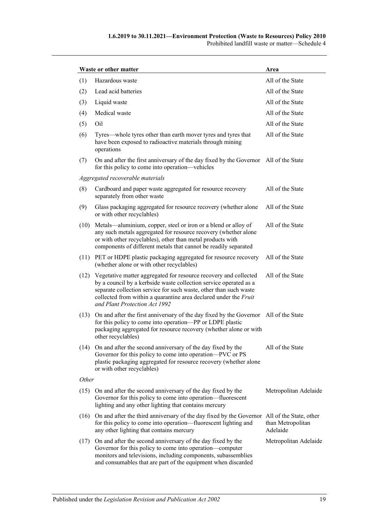| Waste or other matter | Area                                                                                                                                                                                                                                                                                                            |                               |  |  |  |
|-----------------------|-----------------------------------------------------------------------------------------------------------------------------------------------------------------------------------------------------------------------------------------------------------------------------------------------------------------|-------------------------------|--|--|--|
| (1)                   | Hazardous waste                                                                                                                                                                                                                                                                                                 | All of the State              |  |  |  |
| (2)                   | Lead acid batteries                                                                                                                                                                                                                                                                                             | All of the State              |  |  |  |
| (3)                   | Liquid waste                                                                                                                                                                                                                                                                                                    | All of the State              |  |  |  |
| (4)                   | Medical waste                                                                                                                                                                                                                                                                                                   | All of the State              |  |  |  |
| (5)                   | Oil                                                                                                                                                                                                                                                                                                             | All of the State              |  |  |  |
| (6)                   | Tyres—whole tyres other than earth mover tyres and tyres that<br>have been exposed to radioactive materials through mining<br>operations                                                                                                                                                                        | All of the State              |  |  |  |
| (7)                   | On and after the first anniversary of the day fixed by the Governor All of the State<br>for this policy to come into operation—vehicles                                                                                                                                                                         |                               |  |  |  |
|                       | Aggregated recoverable materials                                                                                                                                                                                                                                                                                |                               |  |  |  |
| (8)                   | Cardboard and paper waste aggregated for resource recovery<br>separately from other waste                                                                                                                                                                                                                       | All of the State              |  |  |  |
| (9)                   | Glass packaging aggregated for resource recovery (whether alone<br>or with other recyclables)                                                                                                                                                                                                                   | All of the State              |  |  |  |
| (10)                  | Metals—aluminium, copper, steel or iron or a blend or alloy of<br>any such metals aggregated for resource recovery (whether alone<br>or with other recyclables), other than metal products with<br>components of different metals that cannot be readily separated                                              | All of the State              |  |  |  |
| (11)                  | PET or HDPE plastic packaging aggregated for resource recovery<br>(whether alone or with other recyclables)                                                                                                                                                                                                     | All of the State              |  |  |  |
| (12)                  | Vegetative matter aggregated for resource recovery and collected<br>by a council by a kerbside waste collection service operated as a<br>separate collection service for such waste, other than such waste<br>collected from within a quarantine area declared under the Fruit<br>and Plant Protection Act 1992 | All of the State              |  |  |  |
| (13)                  | On and after the first anniversary of the day fixed by the Governor All of the State<br>for this policy to come into operation-PP or LDPE plastic<br>packaging aggregated for resource recovery (whether alone or with<br>other recyclables)                                                                    |                               |  |  |  |
| (14)                  | On and after the second anniversary of the day fixed by the<br>Governor for this policy to come into operation—PVC or PS<br>plastic packaging aggregated for resource recovery (whether alone<br>or with other recyclables)                                                                                     | All of the State              |  |  |  |
| Other                 |                                                                                                                                                                                                                                                                                                                 |                               |  |  |  |
| (15)                  | On and after the second anniversary of the day fixed by the<br>Governor for this policy to come into operation-fluorescent<br>lighting and any other lighting that contains mercury                                                                                                                             | Metropolitan Adelaide         |  |  |  |
| (16)                  | On and after the third anniversary of the day fixed by the Governor All of the State, other<br>for this policy to come into operation—fluorescent lighting and<br>any other lighting that contains mercury                                                                                                      | than Metropolitan<br>Adelaide |  |  |  |
| (17)                  | On and after the second anniversary of the day fixed by the<br>Governor for this policy to come into operation-computer<br>monitors and televisions, including components, subassemblies<br>and consumables that are part of the equipment when discarded                                                       | Metropolitan Adelaide         |  |  |  |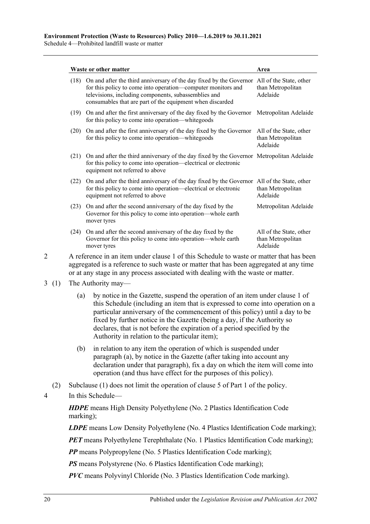Schedule 4—Prohibited landfill waste or matter

|      | Waste or other matter                                                                                                                                                                                                                                                            | Area                                                     |
|------|----------------------------------------------------------------------------------------------------------------------------------------------------------------------------------------------------------------------------------------------------------------------------------|----------------------------------------------------------|
| (18) | On and after the third anniversary of the day fixed by the Governor All of the State, other<br>for this policy to come into operation—computer monitors and<br>televisions, including components, subassemblies and<br>consumables that are part of the equipment when discarded | than Metropolitan<br>Adelaide                            |
| (19) | On and after the first anniversary of the day fixed by the Governor<br>for this policy to come into operation—white goods                                                                                                                                                        | Metropolitan Adelaide                                    |
| (20) | On and after the first anniversary of the day fixed by the Governor<br>for this policy to come into operation—white goods                                                                                                                                                        | All of the State, other<br>than Metropolitan<br>Adelaide |
| (21) | On and after the third anniversary of the day fixed by the Governor Metropolitan Adelaide<br>for this policy to come into operation—electrical or electronic<br>equipment not referred to above                                                                                  |                                                          |
| (22) | On and after the third anniversary of the day fixed by the Governor All of the State, other<br>for this policy to come into operation—electrical or electronic<br>equipment not referred to above                                                                                | than Metropolitan<br>Adelaide                            |
| (23) | On and after the second anniversary of the day fixed by the<br>Governor for this policy to come into operation—whole earth<br>mover tyres                                                                                                                                        | Metropolitan Adelaide                                    |
| (24) | On and after the second anniversary of the day fixed by the<br>Governor for this policy to come into operation—whole earth<br>mover tyres                                                                                                                                        | All of the State, other<br>than Metropolitan<br>Adelaide |

2 A reference in an item under [clause](#page-17-2) 1 of this Schedule to waste or matter that has been aggregated is a reference to such waste or matter that has been aggregated at any time or at any stage in any process associated with dealing with the waste or matter.

#### <span id="page-19-0"></span>3 (1) The Authority may—

- (a) by notice in the Gazette, suspend the operation of an item under [clause](#page-17-2) 1 of this Schedule (including an item that is expressed to come into operation on a particular anniversary of the commencement of this policy) until a day to be fixed by further notice in the Gazette (being a day, if the Authority so declares, that is not before the expiration of a period specified by the Authority in relation to the particular item);
- (b) in relation to any item the operation of which is suspended under [paragraph](#page-19-0) (a), by notice in the Gazette (after taking into account any declaration under that paragraph), fix a day on which the item will come into operation (and thus have effect for the purposes of this policy).
- (2) Subclause (1) does not limit the operation of [clause](#page-4-1) 5 of [Part 1](#page-1-0) of the policy.
- 4 In this Schedule—

*HDPE* means High Density Polyethylene (No. 2 Plastics Identification Code marking);

*LDPE* means Low Density Polyethylene (No. 4 Plastics Identification Code marking);

*PET* means Polyethylene Terephthalate (No. 1 Plastics Identification Code marking);

*PP* means Polypropylene (No. 5 Plastics Identification Code marking);

*PS* means Polystyrene (No. 6 Plastics Identification Code marking);

*PVC* means Polyvinyl Chloride (No. 3 Plastics Identification Code marking).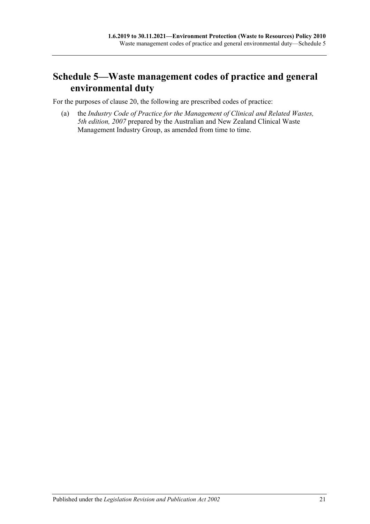# <span id="page-20-0"></span>**Schedule 5—Waste management codes of practice and general environmental duty**

For the purposes of [clause](#page-15-1) 20, the following are prescribed codes of practice:

(a) the *Industry Code of Practice for the Management of Clinical and Related Wastes, 5th edition, 2007* prepared by the Australian and New Zealand Clinical Waste Management Industry Group, as amended from time to time.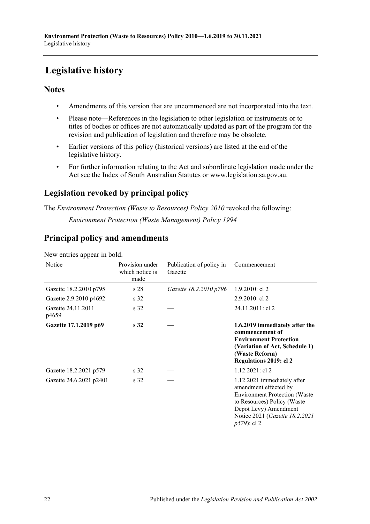# <span id="page-21-0"></span>**Legislative history**

## **Notes**

- Amendments of this version that are uncommenced are not incorporated into the text.
- Please note—References in the legislation to other legislation or instruments or to titles of bodies or offices are not automatically updated as part of the program for the revision and publication of legislation and therefore may be obsolete.
- Earlier versions of this policy (historical versions) are listed at the end of the legislative history.
- For further information relating to the Act and subordinate legislation made under the Act see the Index of South Australian Statutes or www.legislation.sa.gov.au.

# **Legislation revoked by principal policy**

The *Environment Protection (Waste to Resources) Policy 2010* revoked the following: *Environment Protection (Waste Management) Policy 1994*

# **Principal policy and amendments**

New entries appear in bold.

| Notice                      | Provision under<br>which notice is<br>made | Publication of policy in<br>Gazette | Commencement                                                                                                                                                                                            |
|-----------------------------|--------------------------------------------|-------------------------------------|---------------------------------------------------------------------------------------------------------------------------------------------------------------------------------------------------------|
| Gazette 18.2.2010 p795      | s28                                        | Gazette 18.2.2010 p796              | $1.9.2010$ : cl 2                                                                                                                                                                                       |
| Gazette 2.9.2010 p4692      | s <sub>32</sub>                            |                                     | $2.9.2010$ : cl 2                                                                                                                                                                                       |
| Gazette 24.11.2011<br>p4659 | s <sub>32</sub>                            |                                     | 24.11.2011: cl 2                                                                                                                                                                                        |
| Gazette 17.1.2019 p69       | s <sub>32</sub>                            |                                     | 1.6.2019 immediately after the<br>commencement of<br><b>Environment Protection</b><br>(Variation of Act, Schedule 1)<br>(Waste Reform)<br>Regulations 2019: cl 2                                        |
| Gazette 18.2.2021 p579      | s 32                                       |                                     | $1.12.2021$ : cl 2                                                                                                                                                                                      |
| Gazette 24.6.2021 p2401     | s <sub>32</sub>                            |                                     | 1.12.2021 immediately after<br>amendment effected by<br><b>Environment Protection (Waste</b><br>to Resources) Policy (Waste<br>Depot Levy) Amendment<br>Notice 2021 (Gazette 18.2.2021<br>$p579$ : cl 2 |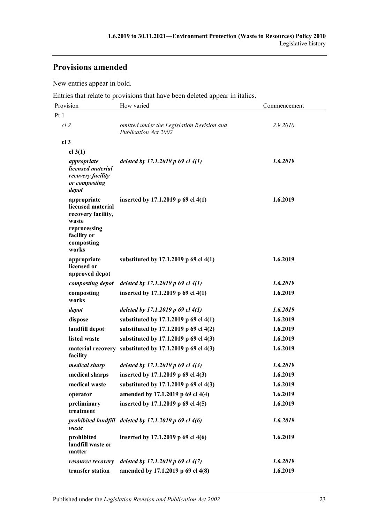# **Provisions amended**

New entries appear in bold.

Entries that relate to provisions that have been deleted appear in italics.

| Provision                                                                                                             | How varied                                                         | Commencement |
|-----------------------------------------------------------------------------------------------------------------------|--------------------------------------------------------------------|--------------|
| Pt 1                                                                                                                  |                                                                    |              |
| $cl$ 2                                                                                                                | omitted under the Legislation Revision and<br>Publication Act 2002 | 2.9.2010     |
| cl <sub>3</sub>                                                                                                       |                                                                    |              |
| cl $3(1)$                                                                                                             |                                                                    |              |
| appropriate<br>licensed material<br>recovery facility<br>or composting<br>depot                                       | deleted by 17.1.2019 p 69 cl 4(1)                                  | 1.6.2019     |
| appropriate<br>licensed material<br>recovery facility,<br>waste<br>reprocessing<br>facility or<br>composting<br>works | inserted by 17.1.2019 p 69 cl 4(1)                                 | 1.6.2019     |
| appropriate<br>licensed or<br>approved depot                                                                          | substituted by 17.1.2019 p 69 cl 4(1)                              | 1.6.2019     |
| composting depot                                                                                                      | deleted by 17.1.2019 p 69 cl $4(1)$                                | 1.6.2019     |
| composting<br>works                                                                                                   | inserted by 17.1.2019 p 69 cl 4(1)                                 | 1.6.2019     |
| depot                                                                                                                 | deleted by 17.1.2019 p 69 cl $4(1)$                                | 1.6.2019     |
| dispose                                                                                                               | substituted by 17.1.2019 p 69 cl 4(1)                              | 1.6.2019     |
| landfill depot                                                                                                        | substituted by 17.1.2019 p 69 cl 4(2)                              | 1.6.2019     |
| listed waste                                                                                                          | substituted by 17.1.2019 p 69 cl 4(3)                              | 1.6.2019     |
| facility                                                                                                              | material recovery substituted by 17.1.2019 p 69 cl 4(3)            | 1.6.2019     |
| medical sharp                                                                                                         | deleted by 17.1.2019 p 69 cl $4(3)$                                | 1.6.2019     |
| medical sharps                                                                                                        | inserted by 17.1.2019 p 69 cl 4(3)                                 | 1.6.2019     |
| medical waste                                                                                                         | substituted by 17.1.2019 p 69 cl 4(3)                              | 1.6.2019     |
| operator                                                                                                              | amended by 17.1.2019 p 69 cl 4(4)                                  | 1.6.2019     |
| preliminary<br>treatment                                                                                              | inserted by 17.1.2019 p 69 cl 4(5)                                 | 1.6.2019     |
| waste                                                                                                                 | prohibited landfill deleted by 17.1.2019 p 69 cl 4(6)              | 1.6.2019     |
| prohibited<br>landfill waste or<br>matter                                                                             | inserted by 17.1.2019 p 69 cl 4(6)                                 | 1.6.2019     |
| resource recovery                                                                                                     | deleted by 17.1.2019 p 69 cl 4(7)                                  | 1.6.2019     |
| transfer station                                                                                                      | amended by 17.1.2019 p 69 cl 4(8)                                  | 1.6.2019     |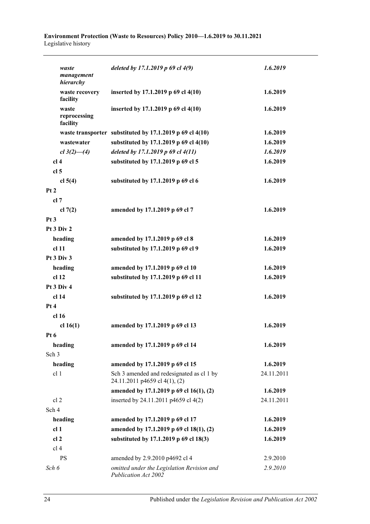#### **Environment Protection (Waste to Resources) Policy 2010—1.6.2019 to 30.11.2021** Legislative history

| waste<br>management<br>hierarchy  | deleted by 17.1.2019 p 69 cl 4(9)                                          | 1.6.2019   |
|-----------------------------------|----------------------------------------------------------------------------|------------|
| waste recovery<br>facility        | inserted by 17.1.2019 p 69 cl 4(10)                                        | 1.6.2019   |
| waste<br>reprocessing<br>facility | inserted by 17.1.2019 p 69 cl 4(10)                                        | 1.6.2019   |
|                                   | waste transporter substituted by 17.1.2019 p 69 cl 4(10)                   | 1.6.2019   |
| wastewater                        | substituted by 17.1.2019 p 69 cl 4(10)                                     | 1.6.2019   |
| $cl 3(2)$ —(4)                    | deleted by 17.1.2019 p 69 cl 4(11)                                         | 1.6.2019   |
| cl <sub>4</sub>                   | substituted by 17.1.2019 p 69 cl 5                                         | 1.6.2019   |
| cl <sub>5</sub>                   |                                                                            |            |
| cl $5(4)$                         | substituted by 17.1.2019 p 69 cl 6                                         | 1.6.2019   |
| Pt2                               |                                                                            |            |
| cl 7                              |                                                                            |            |
| cl $7(2)$                         | amended by 17.1.2019 p 69 cl 7                                             | 1.6.2019   |
| Pt3                               |                                                                            |            |
| Pt 3 Div 2                        |                                                                            |            |
| heading                           | amended by 17.1.2019 p 69 cl 8                                             | 1.6.2019   |
| cl <sub>11</sub>                  | substituted by 17.1.2019 p 69 cl 9                                         | 1.6.2019   |
| Pt 3 Div 3                        |                                                                            |            |
| heading                           | amended by 17.1.2019 p 69 cl 10                                            | 1.6.2019   |
| cl 12                             | substituted by 17.1.2019 p 69 cl 11                                        | 1.6.2019   |
| Pt 3 Div 4                        |                                                                            |            |
| cl 14                             | substituted by 17.1.2019 p 69 cl 12                                        | 1.6.2019   |
| Pt 4                              |                                                                            |            |
| cl <sub>16</sub>                  |                                                                            |            |
| cl $16(1)$                        | amended by 17.1.2019 p 69 cl 13                                            | 1.6.2019   |
| Pt 6                              |                                                                            |            |
| heading                           | amended by 17.1.2019 p 69 cl 14                                            | 1.6.2019   |
| Sch <sub>3</sub>                  |                                                                            |            |
| heading                           | amended by 17.1.2019 p 69 cl 15                                            | 1.6.2019   |
| cl <sub>1</sub>                   | Sch 3 amended and redesignated as cl 1 by<br>24.11.2011 p4659 cl 4(1), (2) | 24.11.2011 |
|                                   | amended by 17.1.2019 p 69 cl 16(1), (2)                                    | 1.6.2019   |
| cl 2                              | inserted by 24.11.2011 p4659 cl 4(2)                                       | 24.11.2011 |
| Sch 4                             |                                                                            |            |
| heading                           | amended by 17.1.2019 p 69 cl 17                                            | 1.6.2019   |
| cl <sub>1</sub>                   | amended by 17.1.2019 p 69 cl 18(1), (2)                                    | 1.6.2019   |
| cl <sub>2</sub>                   | substituted by 17.1.2019 p 69 cl 18(3)                                     | 1.6.2019   |
| cl <sub>4</sub>                   |                                                                            |            |
| <b>PS</b>                         | amended by 2.9.2010 p4692 cl 4                                             | 2.9.2010   |
| Sch 6                             | omitted under the Legislation Revision and<br>Publication Act 2002         | 2.9.2010   |